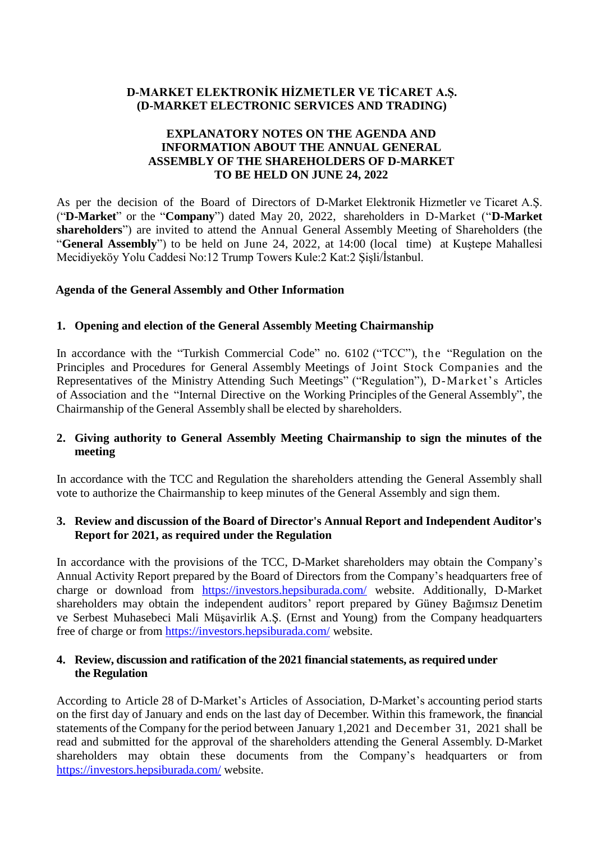## **D-MARKET ELEKTRONİK HİZMETLER VE TİCARET A.Ş. (D-MARKET ELECTRONIC SERVICES AND TRADING)**

## **EXPLANATORY NOTES ON THE AGENDA AND INFORMATION ABOUT THE ANNUAL GENERAL ASSEMBLY OF THE SHAREHOLDERS OF D-MARKET TO BE HELD ON JUNE 24, 2022**

As per the decision of the Board of Directors of D-Market Elektronik Hizmetler ve Ticaret A.Ş. ("**D-Market**" or the "**Company**") dated May 20, 2022, shareholders in D-Market ("**D-Market shareholders**") are invited to attend the Annual General Assembly Meeting of Shareholders (the "**General Assembly**") to be held on June 24, 2022, at 14:00 (local time) at Kuştepe Mahallesi Mecidiyeköy Yolu Caddesi No:12 Trump Towers Kule:2 Kat:2 Şişli/İstanbul.

#### **Agenda of the General Assembly and Other Information**

#### **1. Opening and election of the General Assembly Meeting Chairmanship**

In accordance with the "Turkish Commercial Code" no. 6102 ("TCC"), the "Regulation on the Principles and Procedures for General Assembly Meetings of Joint Stock Companies and the Representatives of the Ministry Attending Such Meetings" ("Regulation"), D-Market's Articles of Association and the "Internal Directive on the Working Principles of the General Assembly", the Chairmanship of the General Assembly shall be elected by shareholders.

## **2. Giving authority to General Assembly Meeting Chairmanship to sign the minutes of the meeting**

In accordance with the TCC and Regulation the shareholders attending the General Assembly shall vote to authorize the Chairmanship to keep minutes of the General Assembly and sign them.

## **3. Review and discussion of the Board of Director's Annual Report and Independent Auditor's Report for 2021, as required under the Regulation**

In accordance with the provisions of the TCC, D-Market shareholders may obtain the Company's Annual Activity Report prepared by the Board of Directors from the Company's headquarters free of charge or download from <https://investors.hepsiburada.com/> website. Additionally, D-Market shareholders may obtain the independent auditors' report prepared by Güney Bağımsız Denetim ve Serbest Muhasebeci Mali Müşavirlik A.Ş. (Ernst and Young) from the Company headquarters free of charge or from<https://investors.hepsiburada.com/> website.

#### **4. Review, discussion and ratification of the 2021 financial statements, as required under the Regulation**

According to Article 28 of D-Market's Articles of Association, D-Market's accounting period starts on the first day of January and ends on the last day of December. Within this framework, the financial statements of the Company for the period between January 1,2021 and December 31, 2021 shall be read and submitted for the approval of the shareholders attending the General Assembly. D-Market shareholders may obtain these documents from the Company's headquarters or from <https://investors.hepsiburada.com/> website.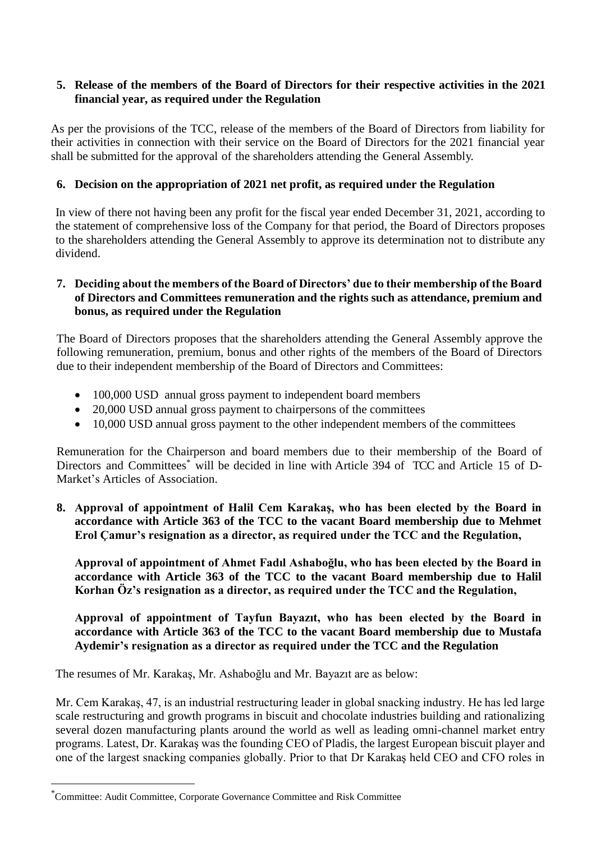#### **5. Release of the members of the Board of Directors for their respective activities in the 2021 financial year, as required under the Regulation**

As per the provisions of the TCC, release of the members of the Board of Directors from liability for their activities in connection with their service on the Board of Directors for the 2021 financial year shall be submitted for the approval of the shareholders attending the General Assembly.

## **6. Decision on the appropriation of 2021 net profit, as required under the Regulation**

In view of there not having been any profit for the fiscal year ended December 31, 2021, according to the statement of comprehensive loss of the Company for that period, the Board of Directors proposes to the shareholders attending the General Assembly to approve its determination not to distribute any dividend.

#### **7. Deciding about the members of the Board of Directors' due to their membership of the Board of Directors and Committees remuneration and the rights such as attendance, premium and bonus, as required under the Regulation**

The Board of Directors proposes that the shareholders attending the General Assembly approve the following remuneration, premium, bonus and other rights of the members of the Board of Directors due to their independent membership of the Board of Directors and Committees:

- 100,000 USD annual gross payment to independent board members
- 20,000 USD annual gross payment to chairpersons of the committees
- 10,000 USD annual gross payment to the other independent members of the committees

Remuneration for the Chairperson and board members due to their membership of the Board of Directors and Committees<sup>\*</sup> will be decided in line with Article 394 of TCC and Article 15 of D-Market's Articles of Association.

**8. Approval of appointment of Halil Cem Karakaş, who has been elected by the Board in accordance with Article 363 of the TCC to the vacant Board membership due to Mehmet Erol Çamur's resignation as a director, as required under the TCC and the Regulation,**

**Approval of appointment of Ahmet Fadıl Ashaboğlu, who has been elected by the Board in accordance with Article 363 of the TCC to the vacant Board membership due to Halil Korhan Öz's resignation as a director, as required under the TCC and the Regulation,**

## **Approval of appointment of Tayfun Bayazıt, who has been elected by the Board in accordance with Article 363 of the TCC to the vacant Board membership due to Mustafa Aydemir's resignation as a director as required under the TCC and the Regulation**

The resumes of Mr. Karakaş, Mr. Ashaboğlu and Mr. Bayazıt are as below:

Mr. Cem Karakaş, 47, is an industrial restructuring leader in global snacking industry. He has led large scale restructuring and growth programs in biscuit and chocolate industries building and rationalizing several dozen manufacturing plants around the world as well as leading omni-channel market entry programs. Latest, Dr. Karakaş was the founding CEO of Pladis, the largest European biscuit player and one of the largest snacking companies globally. Prior to that Dr Karakaş held CEO and CFO roles in

**.** 

<sup>\*</sup>Committee: Audit Committee, Corporate Governance Committee and Risk Committee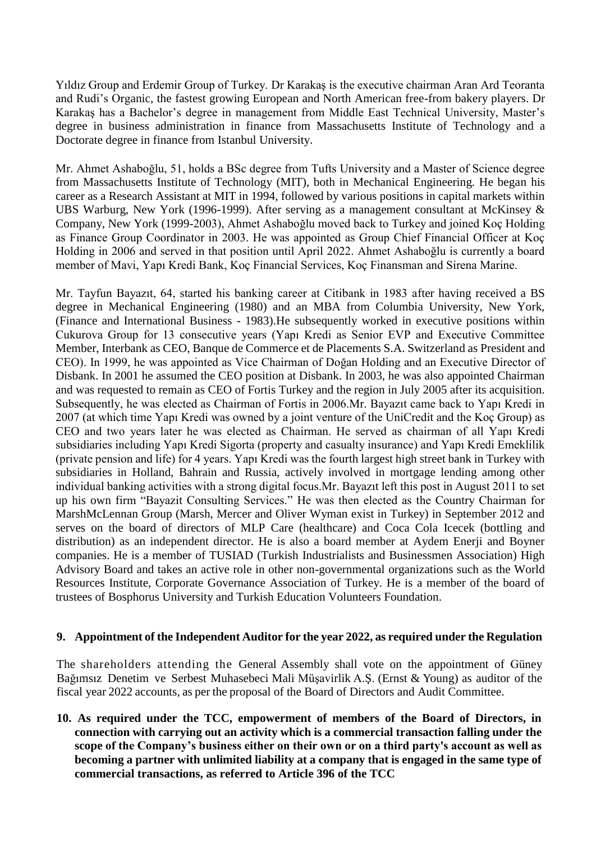Yıldız Group and Erdemir Group of Turkey. Dr Karakaş is the executive chairman Aran Ard Teoranta and Rudi's Organic, the fastest growing European and North American free-from bakery players. Dr Karakaş has a Bachelor's degree in management from Middle East Technical University, Master's degree in business administration in finance from Massachusetts Institute of Technology and a Doctorate degree in finance from Istanbul University.

Mr. Ahmet Ashaboğlu, 51, holds a BSc degree from Tufts University and a Master of Science degree from Massachusetts Institute of Technology (MIT), both in Mechanical Engineering. He began his career as a Research Assistant at MIT in 1994, followed by various positions in capital markets within UBS Warburg, New York (1996-1999). After serving as a management consultant at McKinsey & Company, New York (1999-2003), Ahmet Ashaboğlu moved back to Turkey and joined Koç Holding as Finance Group Coordinator in 2003. He was appointed as Group Chief Financial Officer at Koç Holding in 2006 and served in that position until April 2022. Ahmet Ashaboğlu is currently a board member of Mavi, Yapı Kredi Bank, Koç Financial Services, Koç Finansman and Sirena Marine.

Mr. Tayfun Bayazıt, 64, started his banking career at Citibank in 1983 after having received a BS degree in Mechanical Engineering (1980) and an MBA from Columbia University, New York, (Finance and International Business - 1983).He subsequently worked in executive positions within Cukurova Group for 13 consecutive years (Yapı Kredi as Senior EVP and Executive Committee Member, Interbank as CEO, Banque de Commerce et de Placements S.A. Switzerland as President and CEO). In 1999, he was appointed as Vice Chairman of Doğan Holding and an Executive Director of Disbank. In 2001 he assumed the CEO position at Disbank. In 2003, he was also appointed Chairman and was requested to remain as CEO of Fortis Turkey and the region in July 2005 after its acquisition. Subsequently, he was elected as Chairman of Fortis in 2006.Mr. Bayazıt came back to Yapı Kredi in 2007 (at which time Yapı Kredi was owned by a joint venture of the UniCredit and the Koç Group) as CEO and two years later he was elected as Chairman. He served as chairman of all Yapı Kredi subsidiaries including Yapı Kredi Sigorta (property and casualty insurance) and Yapı Kredi Emeklilik (private pension and life) for 4 years. Yapı Kredi was the fourth largest high street bank in Turkey with subsidiaries in Holland, Bahrain and Russia, actively involved in mortgage lending among other individual banking activities with a strong digital focus.Mr. Bayazıt left this post in August 2011 to set up his own firm "Bayazit Consulting Services." He was then elected as the Country Chairman for MarshMcLennan Group (Marsh, Mercer and Oliver Wyman exist in Turkey) in September 2012 and serves on the board of directors of MLP Care (healthcare) and Coca Cola Icecek (bottling and distribution) as an independent director. He is also a board member at Aydem Enerji and Boyner companies. He is a member of TUSIAD (Turkish Industrialists and Businessmen Association) High Advisory Board and takes an active role in other non-governmental organizations such as the World Resources Institute, Corporate Governance Association of Turkey. He is a member of the board of trustees of Bosphorus University and Turkish Education Volunteers Foundation.

#### **9. Appointment of the Independent Auditor for the year 2022, as required under the Regulation**

The shareholders attending the General Assembly shall vote on the appointment of Güney Bağımsız Denetim ve Serbest Muhasebeci Mali Müşavirlik A.Ş. (Ernst & Young) as auditor of the fiscal year 2022 accounts, as per the proposal of the Board of Directors and Audit Committee.

**10. As required under the TCC, empowerment of members of the Board of Directors, in connection with carrying out an activity which is a commercial transaction falling under the scope of the Company's business either on their own or on a third party's account as well as becoming a partner with unlimited liability at a company that is engaged in the same type of commercial transactions, as referred to Article 396 of the TCC**